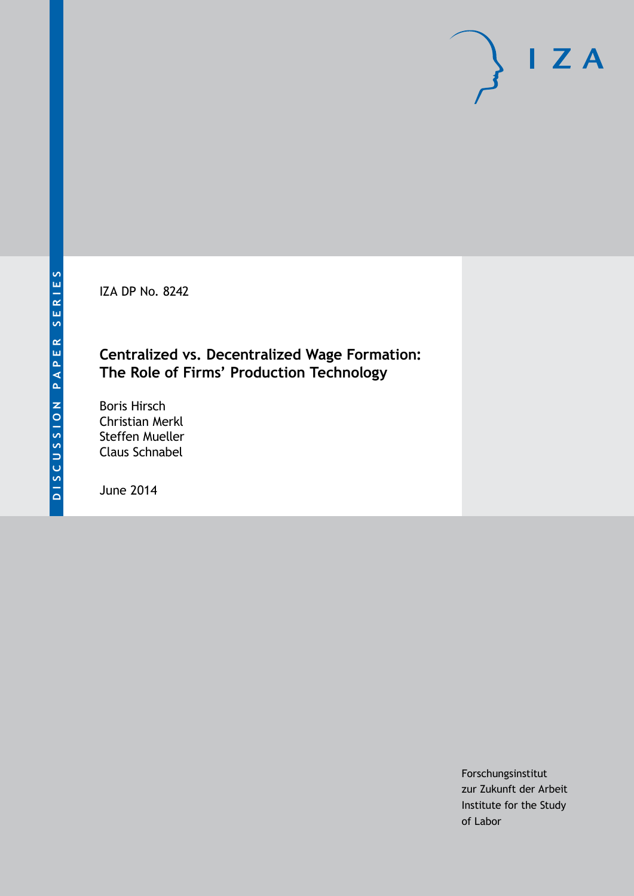IZA DP No. 8242

## **Centralized vs. Decentralized Wage Formation: The Role of Firms' Production Technology**

Boris Hirsch Christian Merkl Steffen Mueller Claus Schnabel

June 2014

Forschungsinstitut zur Zukunft der Arbeit Institute for the Study of Labor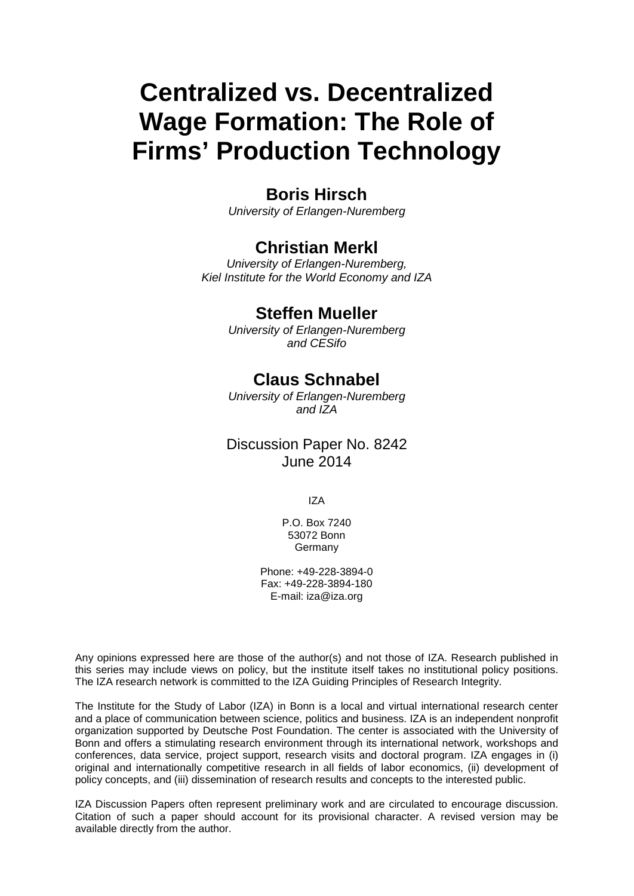# **Centralized vs. Decentralized Wage Formation: The Role of Firms' Production Technology**

## **Boris Hirsch**

*University of Erlangen-Nuremberg*

## **Christian Merkl**

*University of Erlangen-Nuremberg, Kiel Institute for the World Economy and IZA*

#### **Steffen Mueller**

*University of Erlangen-Nuremberg and CESifo*

## **Claus Schnabel**

*University of Erlangen-Nuremberg and IZA*

#### Discussion Paper No. 8242 June 2014

IZA

P.O. Box 7240 53072 Bonn **Germany** 

Phone: +49-228-3894-0 Fax: +49-228-3894-180 E-mail: [iza@iza.org](mailto:iza@iza.org)

Any opinions expressed here are those of the author(s) and not those of IZA. Research published in this series may include views on policy, but the institute itself takes no institutional policy positions. The IZA research network is committed to the IZA Guiding Principles of Research Integrity.

The Institute for the Study of Labor (IZA) in Bonn is a local and virtual international research center and a place of communication between science, politics and business. IZA is an independent nonprofit organization supported by Deutsche Post Foundation. The center is associated with the University of Bonn and offers a stimulating research environment through its international network, workshops and conferences, data service, project support, research visits and doctoral program. IZA engages in (i) original and internationally competitive research in all fields of labor economics, (ii) development of policy concepts, and (iii) dissemination of research results and concepts to the interested public.

<span id="page-1-0"></span>IZA Discussion Papers often represent preliminary work and are circulated to encourage discussion. Citation of such a paper should account for its provisional character. A revised version may be available directly from the author.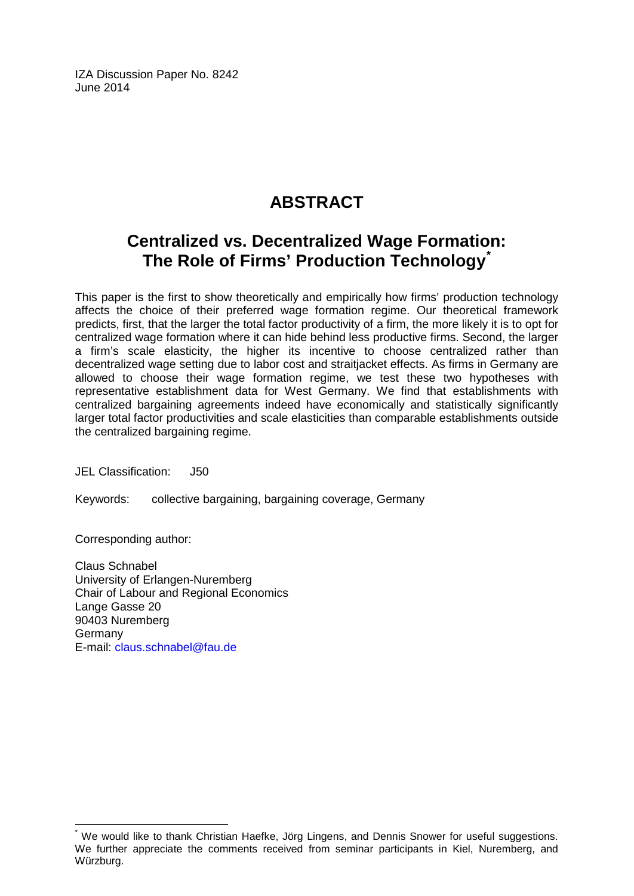IZA Discussion Paper No. 8242 June 2014

## **ABSTRACT**

## **Centralized vs. Decentralized Wage Formation: The Role of Firms' Production Technology[\\*](#page-1-0)**

This paper is the first to show theoretically and empirically how firms' production technology affects the choice of their preferred wage formation regime. Our theoretical framework predicts, first, that the larger the total factor productivity of a firm, the more likely it is to opt for centralized wage formation where it can hide behind less productive firms. Second, the larger a firm's scale elasticity, the higher its incentive to choose centralized rather than decentralized wage setting due to labor cost and straitjacket effects. As firms in Germany are allowed to choose their wage formation regime, we test these two hypotheses with representative establishment data for West Germany. We find that establishments with centralized bargaining agreements indeed have economically and statistically significantly larger total factor productivities and scale elasticities than comparable establishments outside the centralized bargaining regime.

JEL Classification: J50

Keywords: collective bargaining, bargaining coverage, Germany

Corresponding author:

Claus Schnabel University of Erlangen-Nuremberg Chair of Labour and Regional Economics Lange Gasse 20 90403 Nuremberg Germany E-mail: [claus.schnabel@fau.de](mailto:claus.schnabel@fau.de)

We would like to thank Christian Haefke, Jörg Lingens, and Dennis Snower for useful suggestions. We further appreciate the comments received from seminar participants in Kiel, Nuremberg, and Würzburg.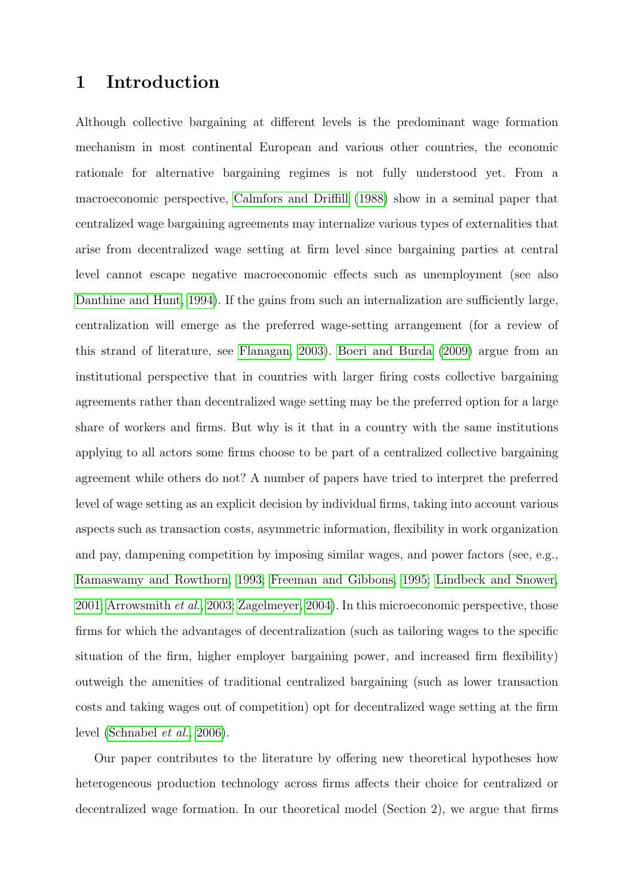## 1 Introduction

Although collective bargaining at different levels is the predominant wage formation mechanism in most continental European and various other countries, the economic rationale for alternative bargaining regimes is not fully understood yet. From a macroeconomic perspective, [Calmfors and Driffill](#page-24-0) [\(1988\)](#page-24-0) show in a seminal paper that centralized wage bargaining agreements may internalize various types of externalities that arise from decentralized wage setting at firm level since bargaining parties at central level cannot escape negative macroeconomic effects such as unemployment (see also [Danthine and Hunt, 1994\)](#page-24-1). If the gains from such an internalization are sufficiently large, centralization will emerge as the preferred wage-setting arrangement (for a review of this strand of literature, see [Flanagan, 2003\)](#page-24-2). [Boeri and Burda](#page-24-3) [\(2009\)](#page-24-3) argue from an institutional perspective that in countries with larger firing costs collective bargaining agreements rather than decentralized wage setting may be the preferred option for a large share of workers and firms. But why is it that in a country with the same institutions applying to all actors some firms choose to be part of a centralized collective bargaining agreement while others do not? A number of papers have tried to interpret the preferred level of wage setting as an explicit decision by individual firms, taking into account various aspects such as transaction costs, asymmetric information, flexibility in work organization and pay, dampening competition by imposing similar wages, and power factors (see, e.g., [Ramaswamy and Rowthorn, 1993;](#page-25-0) [Freeman and Gibbons, 1995;](#page-24-4) [Lindbeck and Snower,](#page-25-1) [2001;](#page-25-1) [Arrowsmith](#page-24-5) et al., [2003;](#page-24-5) [Zagelmeyer, 2004\)](#page-25-2). In this microeconomic perspective, those firms for which the advantages of decentralization (such as tailoring wages to the specific situation of the firm, higher employer bargaining power, and increased firm flexibility) outweigh the amenities of traditional centralized bargaining (such as lower transaction costs and taking wages out of competition) opt for decentralized wage setting at the firm level [\(Schnabel](#page-25-3) et al., [2006\)](#page-25-3).

Our paper contributes to the literature by offering new theoretical hypotheses how heterogeneous production technology across firms affects their choice for centralized or decentralized wage formation. In our theoretical model (Section 2), we argue that firms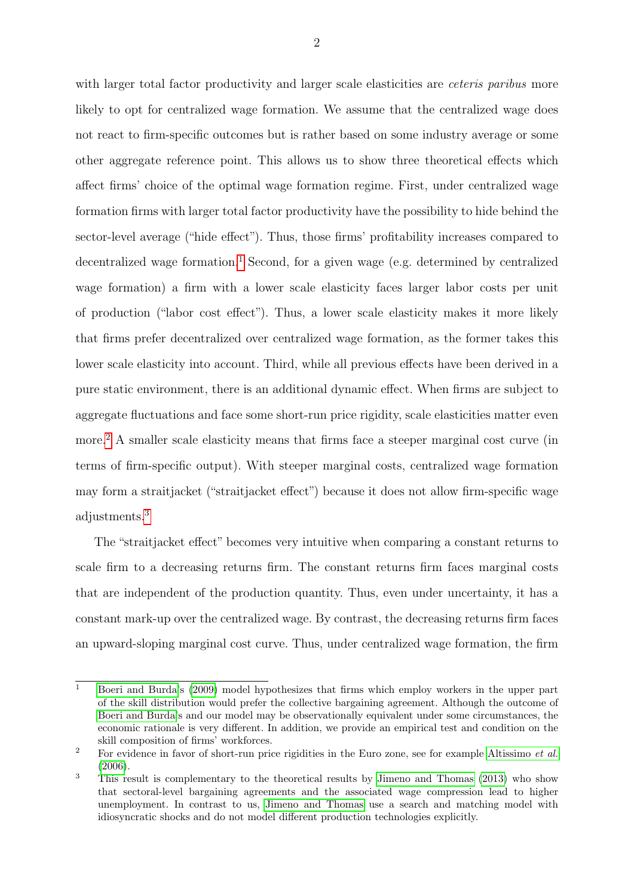with larger total factor productivity and larger scale elasticities are *ceteris paribus* more likely to opt for centralized wage formation. We assume that the centralized wage does not react to firm-specific outcomes but is rather based on some industry average or some other aggregate reference point. This allows us to show three theoretical effects which affect firms' choice of the optimal wage formation regime. First, under centralized wage formation firms with larger total factor productivity have the possibility to hide behind the sector-level average ("hide effect"). Thus, those firms' profitability increases compared to decentralized wage formation.<sup>[1](#page--1-0)</sup> Second, for a given wage (e.g. determined by centralized wage formation) a firm with a lower scale elasticity faces larger labor costs per unit of production ("labor cost effect"). Thus, a lower scale elasticity makes it more likely that firms prefer decentralized over centralized wage formation, as the former takes this lower scale elasticity into account. Third, while all previous effects have been derived in a pure static environment, there is an additional dynamic effect. When firms are subject to aggregate fluctuations and face some short-run price rigidity, scale elasticities matter even more.[2](#page--1-0) A smaller scale elasticity means that firms face a steeper marginal cost curve (in terms of firm-specific output). With steeper marginal costs, centralized wage formation may form a straitjacket ("straitjacket effect") because it does not allow firm-specific wage adjustments.[3](#page--1-0)

The "straitjacket effect" becomes very intuitive when comparing a constant returns to scale firm to a decreasing returns firm. The constant returns firm faces marginal costs that are independent of the production quantity. Thus, even under uncertainty, it has a constant mark-up over the centralized wage. By contrast, the decreasing returns firm faces an upward-sloping marginal cost curve. Thus, under centralized wage formation, the firm

 $\overline{1}$  [Boeri and Burda'](#page-24-3)s [\(2009\)](#page-24-3) model hypothesizes that firms which employ workers in the upper part of the skill distribution would prefer the collective bargaining agreement. Although the outcome of [Boeri and Burda'](#page-24-3)s and our model may be observationally equivalent under some circumstances, the economic rationale is very different. In addition, we provide an empirical test and condition on the skill composition of firms' workforces.

<sup>&</sup>lt;sup>2</sup> For evidence in favor of short-run price rigidities in the Euro zone, see for example [Altissimo](#page-24-6) *et al.* [\(2006\)](#page-24-6).

<sup>&</sup>lt;sup>3</sup> This result is complementary to the theoretical results by [Jimeno and Thomas](#page-25-4) [\(2013\)](#page-25-4) who show that sectoral-level bargaining agreements and the associated wage compression lead to higher unemployment. In contrast to us, [Jimeno and Thomas](#page-25-4) use a search and matching model with idiosyncratic shocks and do not model different production technologies explicitly.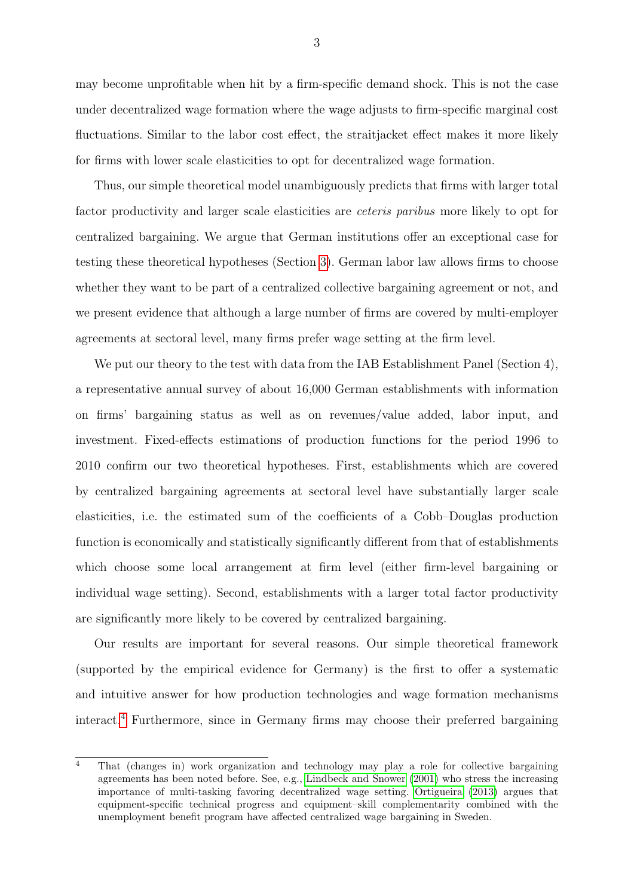may become unprofitable when hit by a firm-specific demand shock. This is not the case under decentralized wage formation where the wage adjusts to firm-specific marginal cost fluctuations. Similar to the labor cost effect, the straitiacket effect makes it more likely for firms with lower scale elasticities to opt for decentralized wage formation.

Thus, our simple theoretical model unambiguously predicts that firms with larger total factor productivity and larger scale elasticities are ceteris paribus more likely to opt for centralized bargaining. We argue that German institutions offer an exceptional case for testing these theoretical hypotheses (Section [3\)](#page-10-0). German labor law allows firms to choose whether they want to be part of a centralized collective bargaining agreement or not, and we present evidence that although a large number of firms are covered by multi-employer agreements at sectoral level, many firms prefer wage setting at the firm level.

We put our theory to the test with data from the IAB Establishment Panel (Section 4), a representative annual survey of about 16,000 German establishments with information on firms' bargaining status as well as on revenues/value added, labor input, and investment. Fixed-effects estimations of production functions for the period 1996 to 2010 confirm our two theoretical hypotheses. First, establishments which are covered by centralized bargaining agreements at sectoral level have substantially larger scale elasticities, i.e. the estimated sum of the coefficients of a Cobb–Douglas production function is economically and statistically significantly different from that of establishments which choose some local arrangement at firm level (either firm-level bargaining or individual wage setting). Second, establishments with a larger total factor productivity are significantly more likely to be covered by centralized bargaining.

Our results are important for several reasons. Our simple theoretical framework (supported by the empirical evidence for Germany) is the first to offer a systematic and intuitive answer for how production technologies and wage formation mechanisms interact.[4](#page--1-0) Furthermore, since in Germany firms may choose their preferred bargaining

<sup>&</sup>lt;sup>4</sup> That (changes in) work organization and technology may play a role for collective bargaining agreements has been noted before. See, e.g., [Lindbeck and Snower](#page-25-1) [\(2001\)](#page-25-1) who stress the increasing importance of multi-tasking favoring decentralized wage setting. [Ortigueira](#page-25-5) [\(2013\)](#page-25-5) argues that equipment-specific technical progress and equipment–skill complementarity combined with the unemployment benefit program have affected centralized wage bargaining in Sweden.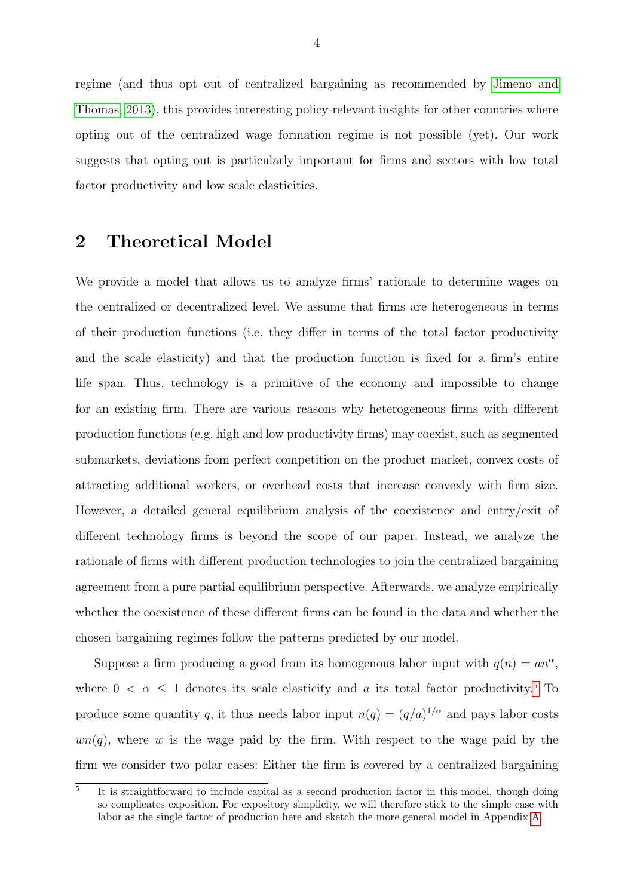regime (and thus opt out of centralized bargaining as recommended by [Jimeno and](#page-25-4) [Thomas, 2013\)](#page-25-4), this provides interesting policy-relevant insights for other countries where opting out of the centralized wage formation regime is not possible (yet). Our work suggests that opting out is particularly important for firms and sectors with low total factor productivity and low scale elasticities.

## <span id="page-6-0"></span>2 Theoretical Model

We provide a model that allows us to analyze firms' rationale to determine wages on the centralized or decentralized level. We assume that firms are heterogeneous in terms of their production functions (i.e. they differ in terms of the total factor productivity and the scale elasticity) and that the production function is fixed for a firm's entire life span. Thus, technology is a primitive of the economy and impossible to change for an existing firm. There are various reasons why heterogeneous firms with different production functions (e.g. high and low productivity firms) may coexist, such as segmented submarkets, deviations from perfect competition on the product market, convex costs of attracting additional workers, or overhead costs that increase convexly with firm size. However, a detailed general equilibrium analysis of the coexistence and entry/exit of different technology firms is beyond the scope of our paper. Instead, we analyze the rationale of firms with different production technologies to join the centralized bargaining agreement from a pure partial equilibrium perspective. Afterwards, we analyze empirically whether the coexistence of these different firms can be found in the data and whether the chosen bargaining regimes follow the patterns predicted by our model.

Suppose a firm producing a good from its homogenous labor input with  $q(n) = a n^{\alpha}$ , where  $0 < \alpha \leq 1$  denotes its scale elasticity and a its total factor productivity.<sup>[5](#page--1-0)</sup> To produce some quantity q, it thus needs labor input  $n(q) = (q/a)^{1/\alpha}$  and pays labor costs  $wn(q)$ , where w is the wage paid by the firm. With respect to the wage paid by the firm we consider two polar cases: Either the firm is covered by a centralized bargaining

<sup>5</sup> It is straightforward to include capital as a second production factor in this model, though doing so complicates exposition. For expository simplicity, we will therefore stick to the simple case with labor as the single factor of production here and sketch the more general model in Appendix [A.](#page-20-0)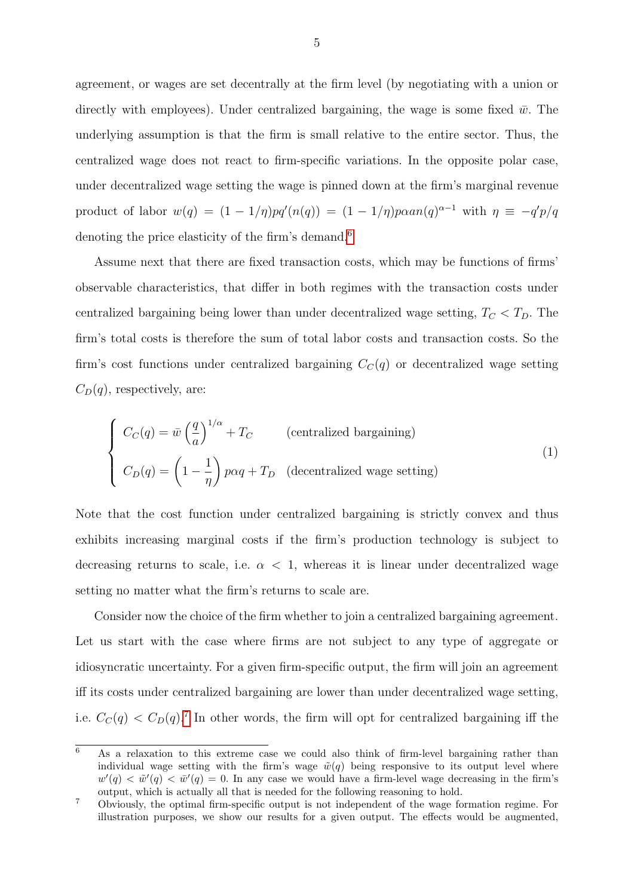agreement, or wages are set decentrally at the firm level (by negotiating with a union or directly with employees). Under centralized bargaining, the wage is some fixed  $\bar{w}$ . The underlying assumption is that the firm is small relative to the entire sector. Thus, the centralized wage does not react to firm-specific variations. In the opposite polar case, under decentralized wage setting the wage is pinned down at the firm's marginal revenue product of labor  $w(q) = (1 - 1/\eta)pq'(n(q)) = (1 - 1/\eta)p\alpha a n(q)^{\alpha-1}$  with  $\eta \equiv -q'p/q$ denoting the price elasticity of the firm's demand.<sup>[6](#page--1-0)</sup>

Assume next that there are fixed transaction costs, which may be functions of firms' observable characteristics, that differ in both regimes with the transaction costs under centralized bargaining being lower than under decentralized wage setting,  $T_C < T_D$ . The firm's total costs is therefore the sum of total labor costs and transaction costs. So the firm's cost functions under centralized bargaining  $C<sub>C</sub>(q)$  or decentralized wage setting  $C_D(q)$ , respectively, are:

<span id="page-7-0"></span>
$$
\begin{cases}\nC_C(q) = \bar{w} \left(\frac{q}{a}\right)^{1/\alpha} + T_C \qquad \text{(centralized bargaining)}\\
C_D(q) = \left(1 - \frac{1}{\eta}\right) p \alpha q + T_D \quad \text{(decentralized wage setting)}\n\end{cases}
$$
\n(1)

Note that the cost function under centralized bargaining is strictly convex and thus exhibits increasing marginal costs if the firm's production technology is subject to decreasing returns to scale, i.e.  $\alpha$  < 1, whereas it is linear under decentralized wage setting no matter what the firm's returns to scale are.

Consider now the choice of the firm whether to join a centralized bargaining agreement. Let us start with the case where firms are not subject to any type of aggregate or idiosyncratic uncertainty. For a given firm-specific output, the firm will join an agreement iff its costs under centralized bargaining are lower than under decentralized wage setting, i.e.  $C_C(q) < C_D(q)$ <sup>[7](#page--1-0)</sup> In other words, the firm will opt for centralized bargaining iff the

 $\overline{6}$  As a relaxation to this extreme case we could also think of firm-level bargaining rather than individual wage setting with the firm's wage  $\tilde{w}(q)$  being responsive to its output level where  $w'(q) < \tilde{w}'(q) < \bar{w}'(q) = 0$ . In any case we would have a firm-level wage decreasing in the firm's output, which is actually all that is needed for the following reasoning to hold.

<sup>7</sup> Obviously, the optimal firm-specific output is not independent of the wage formation regime. For illustration purposes, we show our results for a given output. The effects would be augmented,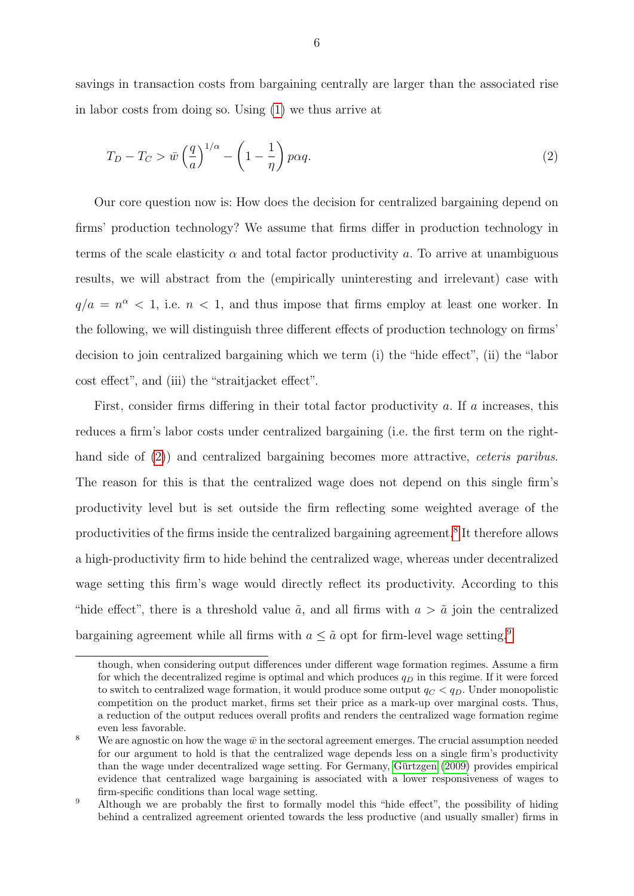savings in transaction costs from bargaining centrally are larger than the associated rise in labor costs from doing so. Using [\(1\)](#page-7-0) we thus arrive at

<span id="page-8-0"></span>
$$
T_D - T_C > \bar{w} \left(\frac{q}{a}\right)^{1/\alpha} - \left(1 - \frac{1}{\eta}\right) p\alpha q.
$$
\n<sup>(2)</sup>

Our core question now is: How does the decision for centralized bargaining depend on firms' production technology? We assume that firms differ in production technology in terms of the scale elasticity  $\alpha$  and total factor productivity a. To arrive at unambiguous results, we will abstract from the (empirically uninteresting and irrelevant) case with  $q/a = n^{\alpha} < 1$ , i.e.  $n < 1$ , and thus impose that firms employ at least one worker. In the following, we will distinguish three different effects of production technology on firms' decision to join centralized bargaining which we term (i) the "hide effect", (ii) the "labor cost effect", and (iii) the "straitjacket effect".

First, consider firms differing in their total factor productivity  $a$ . If  $a$  increases, this reduces a firm's labor costs under centralized bargaining (i.e. the first term on the right-hand side of [\(2\)](#page-8-0)) and centralized bargaining becomes more attractive, *ceteris paribus*. The reason for this is that the centralized wage does not depend on this single firm's productivity level but is set outside the firm reflecting some weighted average of the productivities of the firms inside the centralized bargaining agreement.<sup>[8](#page--1-0)</sup> It therefore allows a high-productivity firm to hide behind the centralized wage, whereas under decentralized wage setting this firm's wage would directly reflect its productivity. According to this "hide effect", there is a threshold value  $\tilde{a}$ , and all firms with  $a > \tilde{a}$  join the centralized bargaining agreement while all firms with  $a \leq \tilde{a}$  opt for firm-level wage setting.<sup>[9](#page--1-0)</sup>

though, when considering output differences under different wage formation regimes. Assume a firm for which the decentralized regime is optimal and which produces  $q<sub>D</sub>$  in this regime. If it were forced to switch to centralized wage formation, it would produce some output  $q_C < q_D$ . Under monopolistic competition on the product market, firms set their price as a mark-up over marginal costs. Thus, a reduction of the output reduces overall profits and renders the centralized wage formation regime even less favorable.

<sup>&</sup>lt;sup>8</sup> We are agnostic on how the wage  $\bar{w}$  in the sectoral agreement emerges. The crucial assumption needed for our argument to hold is that the centralized wage depends less on a single firm's productivity than the wage under decentralized wage setting. For Germany, [Gurtzgen](#page-25-6) [\(2009\)](#page-25-6) provides empirical ¨ evidence that centralized wage bargaining is associated with a lower responsiveness of wages to firm-specific conditions than local wage setting.

<sup>&</sup>lt;sup>9</sup> Although we are probably the first to formally model this "hide effect", the possibility of hiding behind a centralized agreement oriented towards the less productive (and usually smaller) firms in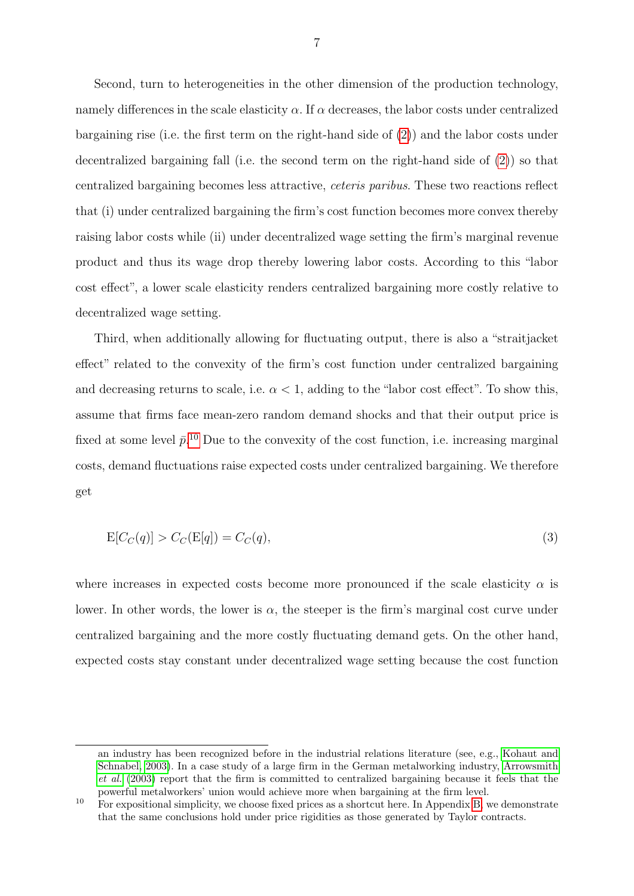Second, turn to heterogeneities in the other dimension of the production technology, namely differences in the scale elasticity  $\alpha$ . If  $\alpha$  decreases, the labor costs under centralized bargaining rise (i.e. the first term on the right-hand side of [\(2\)](#page-8-0)) and the labor costs under decentralized bargaining fall (i.e. the second term on the right-hand side of [\(2\)](#page-8-0)) so that centralized bargaining becomes less attractive, ceteris paribus. These two reactions reflect that (i) under centralized bargaining the firm's cost function becomes more convex thereby raising labor costs while (ii) under decentralized wage setting the firm's marginal revenue product and thus its wage drop thereby lowering labor costs. According to this "labor cost effect", a lower scale elasticity renders centralized bargaining more costly relative to decentralized wage setting.

Third, when additionally allowing for fluctuating output, there is also a "straitjacket effect" related to the convexity of the firm's cost function under centralized bargaining and decreasing returns to scale, i.e.  $\alpha < 1$ , adding to the "labor cost effect". To show this, assume that firms face mean-zero random demand shocks and that their output price is fixed at some level  $\bar{p}$ <sup>[10](#page--1-0)</sup> Due to the convexity of the cost function, i.e. increasing marginal costs, demand fluctuations raise expected costs under centralized bargaining. We therefore get

$$
E[C_C(q)] > C_C(E[q]) = C_C(q),\tag{3}
$$

where increases in expected costs become more pronounced if the scale elasticity  $\alpha$  is lower. In other words, the lower is  $\alpha$ , the steeper is the firm's marginal cost curve under centralized bargaining and the more costly fluctuating demand gets. On the other hand, expected costs stay constant under decentralized wage setting because the cost function

an industry has been recognized before in the industrial relations literature (see, e.g., [Kohaut and](#page-25-7) [Schnabel, 2003\)](#page-25-7). In a case study of a large firm in the German metalworking industry, [Arrowsmith](#page-24-5) [et al.](#page-24-5) [\(2003\)](#page-24-5) report that the firm is committed to centralized bargaining because it feels that the powerful metalworkers' union would achieve more when bargaining at the firm level.

 $10$  For expositional simplicity, we choose fixed prices as a shortcut here. In Appendix [B,](#page-21-0) we demonstrate that the same conclusions hold under price rigidities as those generated by Taylor contracts.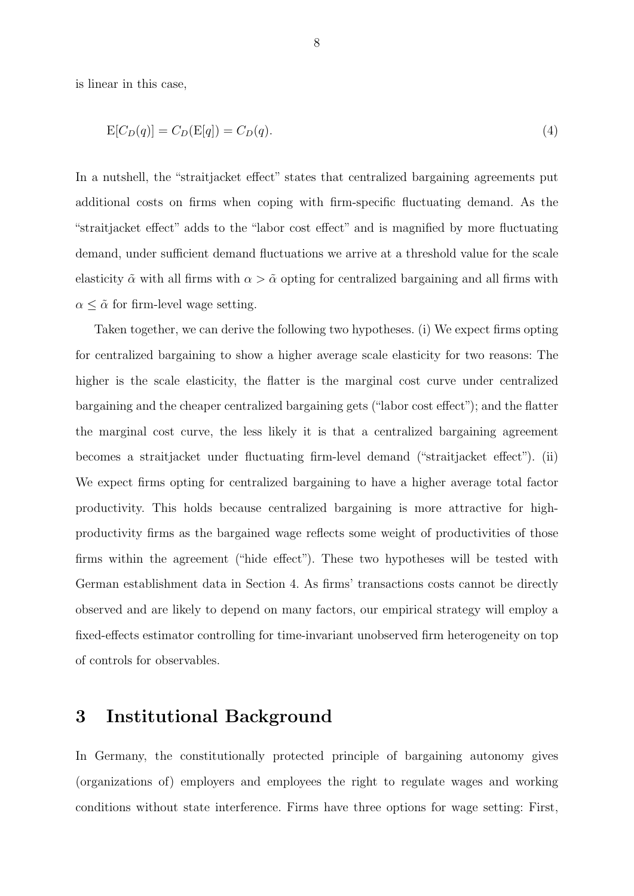is linear in this case,

$$
E[C_D(q)] = C_D(E[q]) = C_D(q). \tag{4}
$$

In a nutshell, the "straitjacket effect" states that centralized bargaining agreements put additional costs on firms when coping with firm-specific fluctuating demand. As the "straitjacket effect" adds to the "labor cost effect" and is magnified by more fluctuating demand, under sufficient demand fluctuations we arrive at a threshold value for the scale elasticity  $\tilde{\alpha}$  with all firms with  $\alpha > \tilde{\alpha}$  opting for centralized bargaining and all firms with  $\alpha \leq \tilde{\alpha}$  for firm-level wage setting.

Taken together, we can derive the following two hypotheses. (i) We expect firms opting for centralized bargaining to show a higher average scale elasticity for two reasons: The higher is the scale elasticity, the flatter is the marginal cost curve under centralized bargaining and the cheaper centralized bargaining gets ("labor cost effect"); and the flatter the marginal cost curve, the less likely it is that a centralized bargaining agreement becomes a straitjacket under fluctuating firm-level demand ("straitjacket effect"). (ii) We expect firms opting for centralized bargaining to have a higher average total factor productivity. This holds because centralized bargaining is more attractive for highproductivity firms as the bargained wage reflects some weight of productivities of those firms within the agreement ("hide effect"). These two hypotheses will be tested with German establishment data in Section 4. As firms' transactions costs cannot be directly observed and are likely to depend on many factors, our empirical strategy will employ a fixed-effects estimator controlling for time-invariant unobserved firm heterogeneity on top of controls for observables.

#### <span id="page-10-0"></span>3 Institutional Background

In Germany, the constitutionally protected principle of bargaining autonomy gives (organizations of) employers and employees the right to regulate wages and working conditions without state interference. Firms have three options for wage setting: First,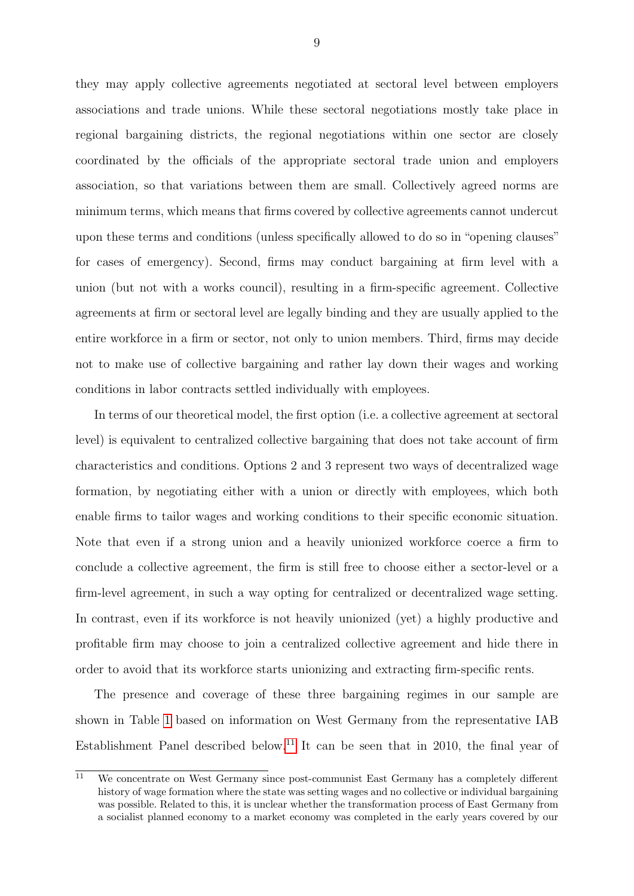they may apply collective agreements negotiated at sectoral level between employers associations and trade unions. While these sectoral negotiations mostly take place in regional bargaining districts, the regional negotiations within one sector are closely coordinated by the officials of the appropriate sectoral trade union and employers association, so that variations between them are small. Collectively agreed norms are minimum terms, which means that firms covered by collective agreements cannot undercut upon these terms and conditions (unless specifically allowed to do so in "opening clauses" for cases of emergency). Second, firms may conduct bargaining at firm level with a union (but not with a works council), resulting in a firm-specific agreement. Collective agreements at firm or sectoral level are legally binding and they are usually applied to the entire workforce in a firm or sector, not only to union members. Third, firms may decide not to make use of collective bargaining and rather lay down their wages and working conditions in labor contracts settled individually with employees.

In terms of our theoretical model, the first option (i.e. a collective agreement at sectoral level) is equivalent to centralized collective bargaining that does not take account of firm characteristics and conditions. Options 2 and 3 represent two ways of decentralized wage formation, by negotiating either with a union or directly with employees, which both enable firms to tailor wages and working conditions to their specific economic situation. Note that even if a strong union and a heavily unionized workforce coerce a firm to conclude a collective agreement, the firm is still free to choose either a sector-level or a firm-level agreement, in such a way opting for centralized or decentralized wage setting. In contrast, even if its workforce is not heavily unionized (yet) a highly productive and profitable firm may choose to join a centralized collective agreement and hide there in order to avoid that its workforce starts unionizing and extracting firm-specific rents.

The presence and coverage of these three bargaining regimes in our sample are shown in Table [1](#page-12-0) based on information on West Germany from the representative IAB Establishment Panel described below.[11](#page--1-0) It can be seen that in 2010, the final year of

 $\overline{11}$  We concentrate on West Germany since post-communist East Germany has a completely different history of wage formation where the state was setting wages and no collective or individual bargaining was possible. Related to this, it is unclear whether the transformation process of East Germany from a socialist planned economy to a market economy was completed in the early years covered by our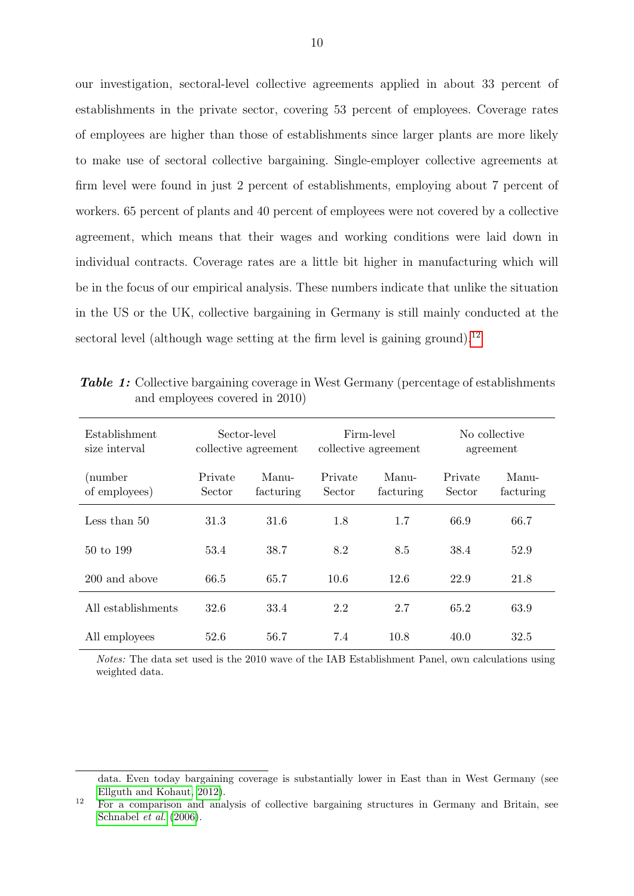our investigation, sectoral-level collective agreements applied in about 33 percent of establishments in the private sector, covering 53 percent of employees. Coverage rates of employees are higher than those of establishments since larger plants are more likely to make use of sectoral collective bargaining. Single-employer collective agreements at firm level were found in just 2 percent of establishments, employing about 7 percent of workers. 65 percent of plants and 40 percent of employees were not covered by a collective agreement, which means that their wages and working conditions were laid down in individual contracts. Coverage rates are a little bit higher in manufacturing which will be in the focus of our empirical analysis. These numbers indicate that unlike the situation in the US or the UK, collective bargaining in Germany is still mainly conducted at the sectoral level (although wage setting at the firm level is gaining ground).<sup>[12](#page--1-0)</sup>

| Establishment<br>size interval | Sector-level<br>collective agreement |                    | Firm-level<br>collective agreement |                    | No collective<br>agreement |                    |
|--------------------------------|--------------------------------------|--------------------|------------------------------------|--------------------|----------------------------|--------------------|
| (number<br>of employees)       | Private<br>Sector                    | Manu-<br>facturing | Private<br>Sector                  | Manu-<br>facturing | Private<br>Sector          | Manu-<br>facturing |
| Less than 50                   | 31.3                                 | 31.6               | 1.8                                | 1.7                | 66.9                       | 66.7               |
| 50 to 199                      | 53.4                                 | 38.7               | 8.2                                | 8.5                | 38.4                       | 52.9               |
| 200 and above                  | 66.5                                 | 65.7               | 10.6                               | 12.6               | 22.9                       | 21.8               |
| All establishments             | 32.6                                 | 33.4               | 2.2                                | 2.7                | 65.2                       | 63.9               |
| All employees                  | 52.6                                 | 56.7               | 7.4                                | 10.8               | 40.0                       | 32.5               |

<span id="page-12-0"></span>Table 1: Collective bargaining coverage in West Germany (percentage of establishments and employees covered in 2010)

Notes: The data set used is the 2010 wave of the IAB Establishment Panel, own calculations using weighted data.

data. Even today bargaining coverage is substantially lower in East than in West Germany (see [Ellguth and Kohaut, 2012\)](#page-24-7).

<sup>12</sup> For a comparison and analysis of collective bargaining structures in Germany and Britain, see [Schnabel](#page-25-3) et al. [\(2006\)](#page-25-3).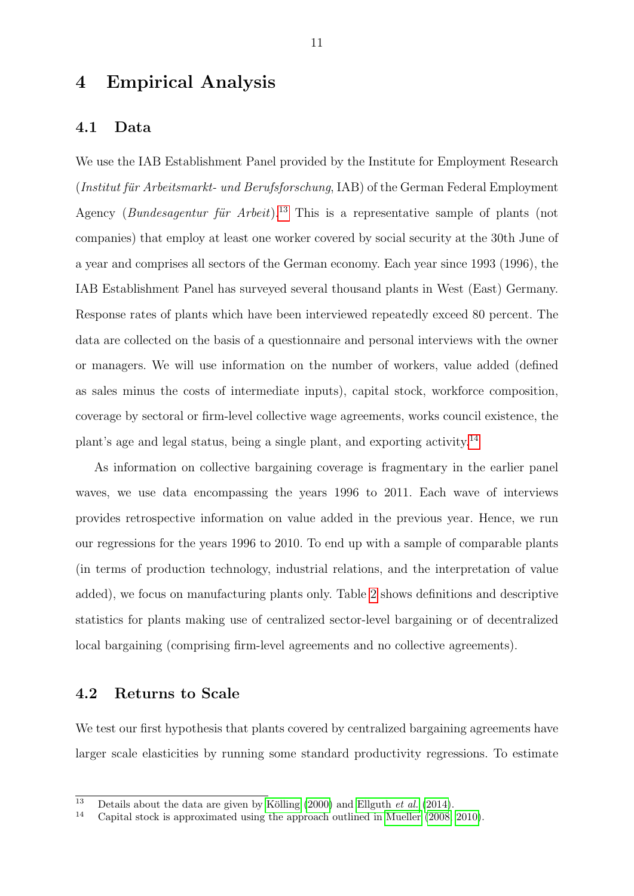#### 4 Empirical Analysis

#### 4.1 Data

We use the IAB Establishment Panel provided by the Institute for Employment Research  $(Institut für Arbeitsmarkt- und Berufsforschung, IAB) of the German Federal Emblovement$ Agency (Bundesagentur für Arbeit).<sup>[13](#page--1-0)</sup> This is a representative sample of plants (not companies) that employ at least one worker covered by social security at the 30th June of a year and comprises all sectors of the German economy. Each year since 1993 (1996), the IAB Establishment Panel has surveyed several thousand plants in West (East) Germany. Response rates of plants which have been interviewed repeatedly exceed 80 percent. The data are collected on the basis of a questionnaire and personal interviews with the owner or managers. We will use information on the number of workers, value added (defined as sales minus the costs of intermediate inputs), capital stock, workforce composition, coverage by sectoral or firm-level collective wage agreements, works council existence, the plant's age and legal status, being a single plant, and exporting activity.[14](#page--1-0)

As information on collective bargaining coverage is fragmentary in the earlier panel waves, we use data encompassing the years 1996 to 2011. Each wave of interviews provides retrospective information on value added in the previous year. Hence, we run our regressions for the years 1996 to 2010. To end up with a sample of comparable plants (in terms of production technology, industrial relations, and the interpretation of value added), we focus on manufacturing plants only. Table [2](#page-14-0) shows definitions and descriptive statistics for plants making use of centralized sector-level bargaining or of decentralized local bargaining (comprising firm-level agreements and no collective agreements).

#### 4.2 Returns to Scale

We test our first hypothesis that plants covered by centralized bargaining agreements have larger scale elasticities by running some standard productivity regressions. To estimate

<sup>&</sup>lt;sup>13</sup> Details about the data are given by Kölling [\(2000\)](#page-25-8) and [Ellguth](#page-24-8) *et al.* [\(2014\)](#page-24-8).<br><sup>14</sup> Capital stock is approximated using the approach outlined in Mueller (2008)

Capital stock is approximated using the approach outlined in [Mueller](#page-25-9) [\(2008,](#page-25-9) [2010\)](#page-25-10).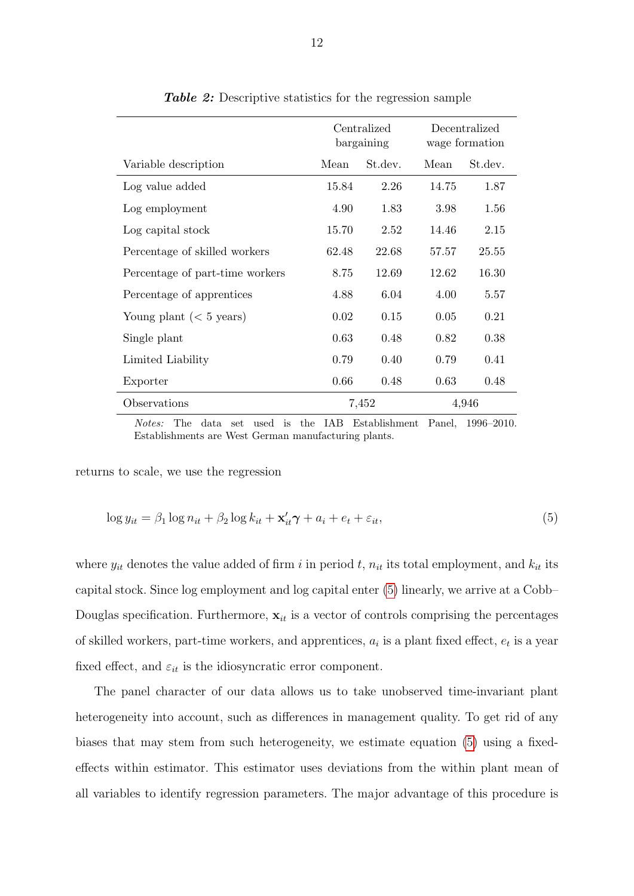<span id="page-14-0"></span>

|                                   | Centralized<br>bargaining |         | Decentralized<br>wage formation |         |
|-----------------------------------|---------------------------|---------|---------------------------------|---------|
| Variable description              | Mean                      | St.dev. | Mean                            | St.dev. |
| Log value added                   | 15.84                     | 2.26    | 14.75                           | 1.87    |
| Log employment                    | 4.90                      | 1.83    | 3.98                            | 1.56    |
| Log capital stock                 | 15.70                     | 2.52    | 14.46                           | 2.15    |
| Percentage of skilled workers     | 62.48                     | 22.68   | 57.57                           | 25.55   |
| Percentage of part-time workers   | 8.75                      | 12.69   | 12.62                           | 16.30   |
| Percentage of apprentices         | 4.88                      | 6.04    | 4.00                            | 5.57    |
| Young plant $(< 5 \text{ years})$ | 0.02                      | 0.15    | 0.05                            | 0.21    |
| Single plant                      | 0.63                      | 0.48    | 0.82                            | 0.38    |
| Limited Liability                 | 0.79                      | 0.40    | 0.79                            | 0.41    |
| Exporter                          | 0.66                      | 0.48    | 0.63                            | 0.48    |
| Observations                      | 7,452                     |         | 4,946                           |         |

Table 2: Descriptive statistics for the regression sample

<span id="page-14-1"></span>Notes: The data set used is the IAB Establishment Panel, 1996–2010. Establishments are West German manufacturing plants.

returns to scale, we use the regression

$$
\log y_{it} = \beta_1 \log n_{it} + \beta_2 \log k_{it} + \mathbf{x}'_{it} \boldsymbol{\gamma} + a_i + e_t + \varepsilon_{it},\tag{5}
$$

where  $y_{it}$  denotes the value added of firm i in period t,  $n_{it}$  its total employment, and  $k_{it}$  its capital stock. Since log employment and log capital enter [\(5\)](#page-14-1) linearly, we arrive at a Cobb– Douglas specification. Furthermore,  $x_{it}$  is a vector of controls comprising the percentages of skilled workers, part-time workers, and apprentices,  $a_i$  is a plant fixed effect,  $e_t$  is a year fixed effect, and  $\varepsilon_{it}$  is the idiosyncratic error component.

The panel character of our data allows us to take unobserved time-invariant plant heterogeneity into account, such as differences in management quality. To get rid of any biases that may stem from such heterogeneity, we estimate equation [\(5\)](#page-14-1) using a fixedeffects within estimator. This estimator uses deviations from the within plant mean of all variables to identify regression parameters. The major advantage of this procedure is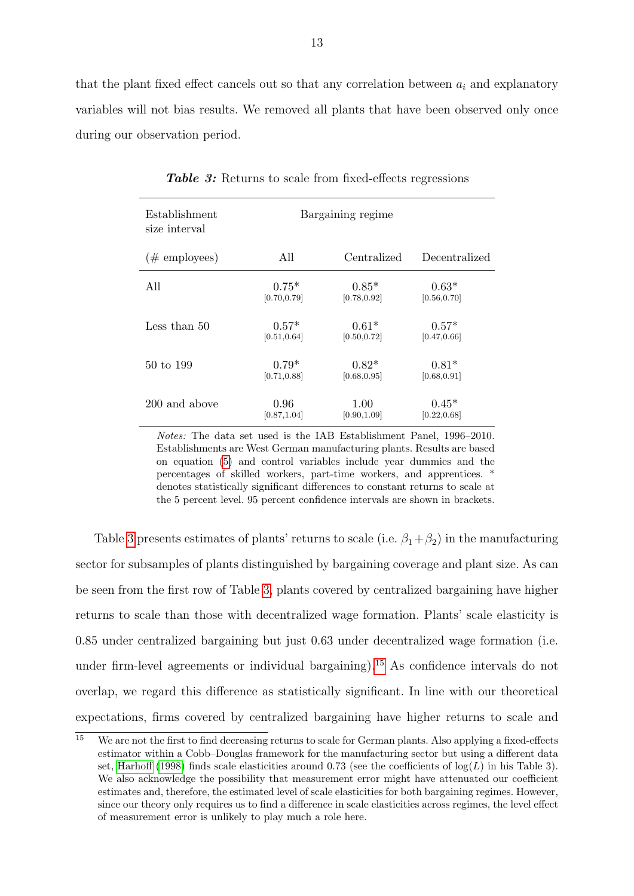that the plant fixed effect cancels out so that any correlation between  $a_i$  and explanatory variables will not bias results. We removed all plants that have been observed only once during our observation period.

<span id="page-15-0"></span>

| Establishment<br>size interval | Bargaining regime |              |               |  |  |
|--------------------------------|-------------------|--------------|---------------|--|--|
| $(\#$ employees)               | All               | Centralized  | Decentralized |  |  |
| All                            | $0.75*$           | $0.85*$      | $0.63*$       |  |  |
|                                | [0.70, 0.79]      | [0.78, 0.92] | [0.56, 0.70]  |  |  |
| Less than 50                   | $0.57*$           | $0.61*$      | $0.57*$       |  |  |
|                                | [0.51, 0.64]      | [0.50, 0.72] | [0.47, 0.66]  |  |  |
| 50 to 199                      | $0.79*$           | $0.82*$      | $0.81*$       |  |  |
|                                | [0.71, 0.88]      | [0.68, 0.95] | [0.68, 0.91]  |  |  |
| 200 and above                  | 0.96              | 1.00         | $0.45*$       |  |  |
|                                | [0.87, 1.04]      | [0.90, 1.09] | [0.22, 0.68]  |  |  |

Table 3: Returns to scale from fixed-effects regressions

Notes: The data set used is the IAB Establishment Panel, 1996–2010. Establishments are West German manufacturing plants. Results are based on equation [\(5\)](#page-14-1) and control variables include year dummies and the percentages of skilled workers, part-time workers, and apprentices. \* denotes statistically significant differences to constant returns to scale at the 5 percent level. 95 percent confidence intervals are shown in brackets.

Table [3](#page-15-0) presents estimates of plants' returns to scale (i.e.  $\beta_1 + \beta_2$ ) in the manufacturing sector for subsamples of plants distinguished by bargaining coverage and plant size. As can be seen from the first row of Table [3,](#page-15-0) plants covered by centralized bargaining have higher returns to scale than those with decentralized wage formation. Plants' scale elasticity is 0.85 under centralized bargaining but just 0.63 under decentralized wage formation (i.e. under firm-level agreements or individual bargaining).[15](#page--1-0) As confidence intervals do not overlap, we regard this difference as statistically significant. In line with our theoretical expectations, firms covered by centralized bargaining have higher returns to scale and

 $\frac{15}{15}$  We are not the first to find decreasing returns to scale for German plants. Also applying a fixed-effects estimator within a Cobb–Douglas framework for the manufacturing sector but using a different data set, [Harhoff](#page-25-11) [\(1998\)](#page-25-11) finds scale elasticities around 0.73 (see the coefficients of  $log(L)$  in his Table 3). We also acknowledge the possibility that measurement error might have attenuated our coefficient estimates and, therefore, the estimated level of scale elasticities for both bargaining regimes. However, since our theory only requires us to find a difference in scale elasticities across regimes, the level effect of measurement error is unlikely to play much a role here.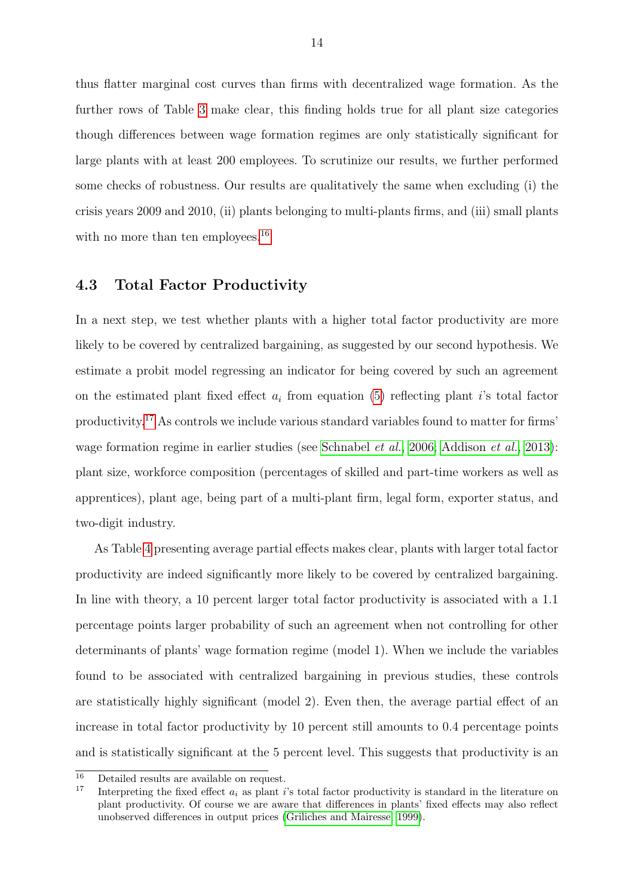thus flatter marginal cost curves than firms with decentralized wage formation. As the further rows of Table [3](#page-15-0) make clear, this finding holds true for all plant size categories though differences between wage formation regimes are only statistically significant for large plants with at least 200 employees. To scrutinize our results, we further performed some checks of robustness. Our results are qualitatively the same when excluding (i) the crisis years 2009 and 2010, (ii) plants belonging to multi-plants firms, and (iii) small plants with no more than ten employees.<sup>[16](#page--1-0)</sup>

#### 4.3 Total Factor Productivity

In a next step, we test whether plants with a higher total factor productivity are more likely to be covered by centralized bargaining, as suggested by our second hypothesis. We estimate a probit model regressing an indicator for being covered by such an agreement on the estimated plant fixed effect  $a_i$  from equation [\(5\)](#page-14-1) reflecting plant *i*'s total factor productivity.[17](#page--1-0) As controls we include various standard variables found to matter for firms' wage formation regime in earlier studies (see [Schnabel](#page-25-3) *et al.*, [2006;](#page-25-3) [Addison](#page-24-9) *et al.*, [2013\)](#page-24-9): plant size, workforce composition (percentages of skilled and part-time workers as well as apprentices), plant age, being part of a multi-plant firm, legal form, exporter status, and two-digit industry.

As Table [4](#page-17-0) presenting average partial effects makes clear, plants with larger total factor productivity are indeed significantly more likely to be covered by centralized bargaining. In line with theory, a 10 percent larger total factor productivity is associated with a 1.1 percentage points larger probability of such an agreement when not controlling for other determinants of plants' wage formation regime (model 1). When we include the variables found to be associated with centralized bargaining in previous studies, these controls are statistically highly significant (model 2). Even then, the average partial effect of an increase in total factor productivity by 10 percent still amounts to 0.4 percentage points and is statistically significant at the 5 percent level. This suggests that productivity is an

 $\frac{16}{16}$  Detailed results are available on request.

Interpreting the fixed effect  $a_i$  as plant is total factor productivity is standard in the literature on plant productivity. Of course we are aware that differences in plants' fixed effects may also reflect unobserved differences in output prices [\(Griliches and Mairesse, 1999\)](#page-24-10).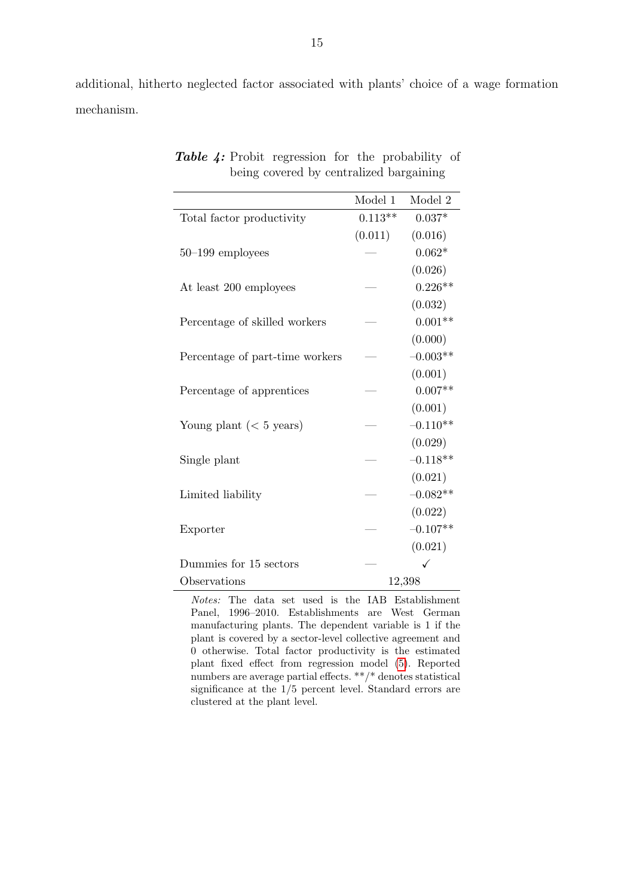<span id="page-17-0"></span>additional, hitherto neglected factor associated with plants' choice of a wage formation mechanism.

|                                   | Model 1   | Model 2    |
|-----------------------------------|-----------|------------|
| Total factor productivity         | $0.113**$ | $0.037*$   |
|                                   | (0.011)   | (0.016)    |
| $50-199$ employees                |           | $0.062*$   |
|                                   |           | (0.026)    |
| At least 200 employees            |           | $0.226**$  |
|                                   |           | (0.032)    |
| Percentage of skilled workers     |           | $0.001**$  |
|                                   |           | (0.000)    |
| Percentage of part-time workers   |           | $-0.003**$ |
|                                   |           | (0.001)    |
| Percentage of apprentices         |           | $0.007**$  |
|                                   |           | (0.001)    |
| Young plant $(< 5 \text{ years})$ |           | $-0.110**$ |
|                                   |           | (0.029)    |
| Single plant                      |           | $-0.118**$ |
|                                   |           | (0.021)    |
| Limited liability                 |           | $-0.082**$ |
|                                   |           | (0.022)    |
| Exporter                          |           | $-0.107**$ |
|                                   |           | (0.021)    |
| Dummies for 15 sectors            |           |            |
| Observations                      |           | 12,398     |

Table 4: Probit regression for the probability of being covered by centralized bargaining

Notes: The data set used is the IAB Establishment Panel, 1996–2010. Establishments are West German manufacturing plants. The dependent variable is 1 if the plant is covered by a sector-level collective agreement and 0 otherwise. Total factor productivity is the estimated plant fixed effect from regression model [\(5\)](#page-14-1). Reported numbers are average partial effects. \*\*/\* denotes statistical significance at the 1/5 percent level. Standard errors are clustered at the plant level.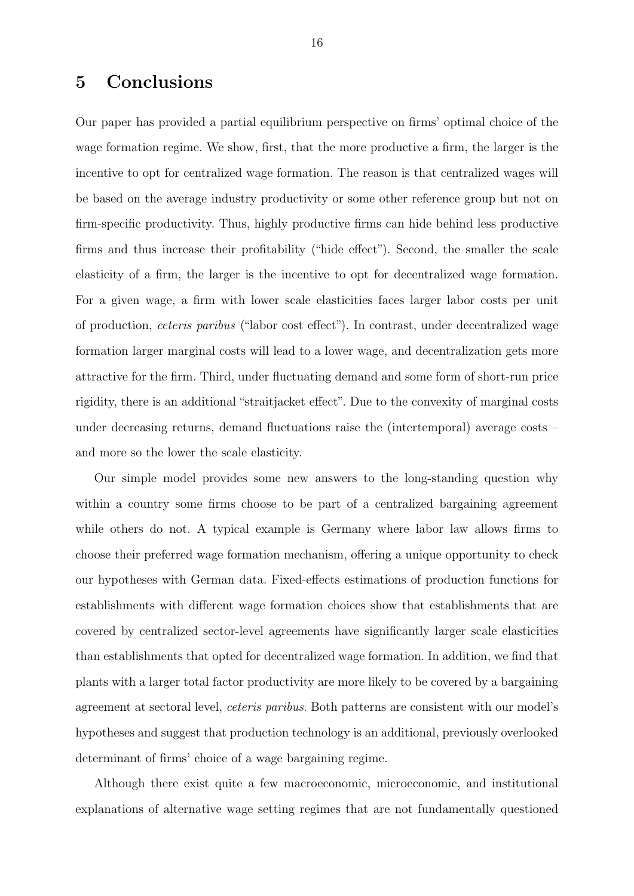# 5 Conclusions

Our paper has provided a partial equilibrium perspective on firms' optimal choice of the wage formation regime. We show, first, that the more productive a firm, the larger is the incentive to opt for centralized wage formation. The reason is that centralized wages will be based on the average industry productivity or some other reference group but not on firm-specific productivity. Thus, highly productive firms can hide behind less productive firms and thus increase their profitability ("hide effect"). Second, the smaller the scale elasticity of a firm, the larger is the incentive to opt for decentralized wage formation. For a given wage, a firm with lower scale elasticities faces larger labor costs per unit of production, ceteris paribus ("labor cost effect"). In contrast, under decentralized wage formation larger marginal costs will lead to a lower wage, and decentralization gets more attractive for the firm. Third, under fluctuating demand and some form of short-run price rigidity, there is an additional "straitjacket effect". Due to the convexity of marginal costs under decreasing returns, demand fluctuations raise the (intertemporal) average costs – and more so the lower the scale elasticity.

Our simple model provides some new answers to the long-standing question why within a country some firms choose to be part of a centralized bargaining agreement while others do not. A typical example is Germany where labor law allows firms to choose their preferred wage formation mechanism, offering a unique opportunity to check our hypotheses with German data. Fixed-effects estimations of production functions for establishments with different wage formation choices show that establishments that are covered by centralized sector-level agreements have significantly larger scale elasticities than establishments that opted for decentralized wage formation. In addition, we find that plants with a larger total factor productivity are more likely to be covered by a bargaining agreement at sectoral level, ceteris paribus. Both patterns are consistent with our model's hypotheses and suggest that production technology is an additional, previously overlooked determinant of firms' choice of a wage bargaining regime.

Although there exist quite a few macroeconomic, microeconomic, and institutional explanations of alternative wage setting regimes that are not fundamentally questioned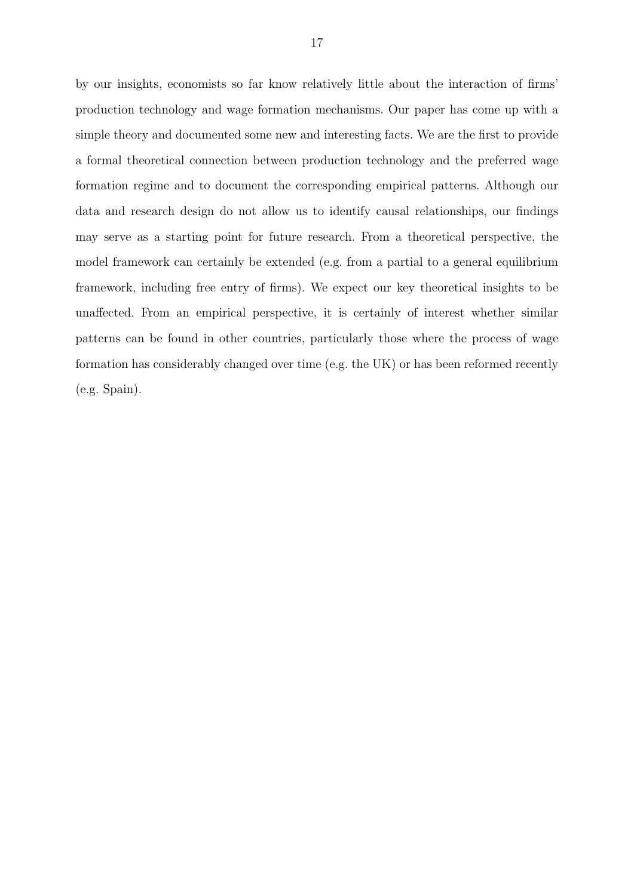by our insights, economists so far know relatively little about the interaction of firms' production technology and wage formation mechanisms. Our paper has come up with a simple theory and documented some new and interesting facts. We are the first to provide a formal theoretical connection between production technology and the preferred wage formation regime and to document the corresponding empirical patterns. Although our data and research design do not allow us to identify causal relationships, our findings may serve as a starting point for future research. From a theoretical perspective, the model framework can certainly be extended (e.g. from a partial to a general equilibrium framework, including free entry of firms). We expect our key theoretical insights to be unaffected. From an empirical perspective, it is certainly of interest whether similar patterns can be found in other countries, particularly those where the process of wage formation has considerably changed over time (e.g. the UK) or has been reformed recently (e.g. Spain).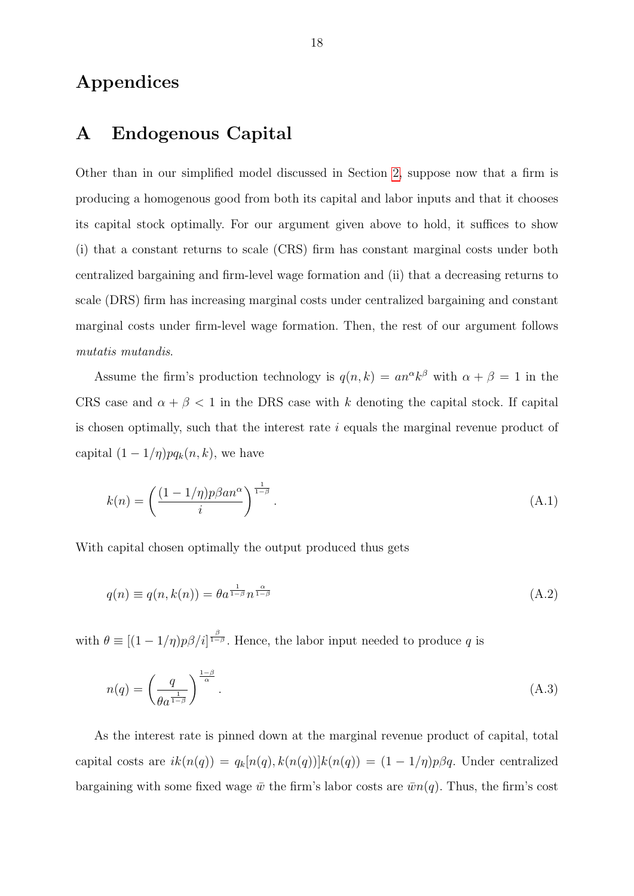## Appendices

## <span id="page-20-0"></span>A Endogenous Capital

Other than in our simplified model discussed in Section [2,](#page-6-0) suppose now that a firm is producing a homogenous good from both its capital and labor inputs and that it chooses its capital stock optimally. For our argument given above to hold, it suffices to show (i) that a constant returns to scale (CRS) firm has constant marginal costs under both centralized bargaining and firm-level wage formation and (ii) that a decreasing returns to scale (DRS) firm has increasing marginal costs under centralized bargaining and constant marginal costs under firm-level wage formation. Then, the rest of our argument follows mutatis mutandis.

Assume the firm's production technology is  $q(n, k) = a n^{\alpha} k^{\beta}$  with  $\alpha + \beta = 1$  in the CRS case and  $\alpha + \beta < 1$  in the DRS case with k denoting the capital stock. If capital is chosen optimally, such that the interest rate i equals the marginal revenue product of capital  $(1 - 1/\eta)pq_k(n, k)$ , we have

$$
k(n) = \left(\frac{(1 - 1/\eta)p\beta a n^{\alpha}}{i}\right)^{\frac{1}{1-\beta}}.\tag{A.1}
$$

With capital chosen optimally the output produced thus gets

$$
q(n) \equiv q(n, k(n)) = \theta a^{\frac{1}{1-\beta}} n^{\frac{\alpha}{1-\beta}}
$$
\n(A.2)

with  $\theta \equiv [(1 - 1/\eta)p\beta/i]^{\frac{\beta}{1-\beta}}$ . Hence, the labor input needed to produce q is

$$
n(q) = \left(\frac{q}{\theta a^{\frac{1}{1-\beta}}}\right)^{\frac{1-\beta}{\alpha}}.\tag{A.3}
$$

As the interest rate is pinned down at the marginal revenue product of capital, total capital costs are  $ik(n(q)) = q_k[n(q), k(n(q))]k(n(q)) = (1 - 1/\eta)p\beta q$ . Under centralized bargaining with some fixed wage  $\bar{w}$  the firm's labor costs are  $\bar{w}n(q)$ . Thus, the firm's cost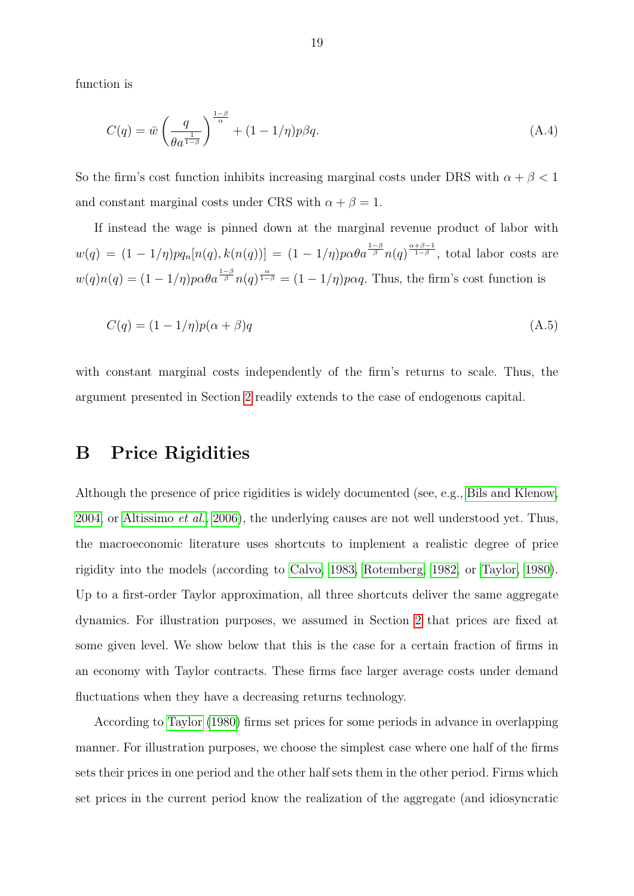function is

$$
C(q) = \bar{w} \left(\frac{q}{\theta a^{\frac{1}{1-\beta}}}\right)^{\frac{1-\beta}{\alpha}} + (1 - 1/\eta)p\beta q.
$$
 (A.4)

So the firm's cost function inhibits increasing marginal costs under DRS with  $\alpha + \beta < 1$ and constant marginal costs under CRS with  $\alpha + \beta = 1$ .

If instead the wage is pinned down at the marginal revenue product of labor with  $w(q) = (1 - 1/\eta)pq_n[n(q), k(n(q))] = (1 - 1/\eta)p\alpha\theta a^{\frac{1-\beta}{\beta}}n(q)^{\frac{\alpha+\beta-1}{1-\beta}},$  total labor costs are  $w(q)n(q) = (1 - 1/\eta)p\alpha\theta a^{\frac{1-\beta}{\beta}}n(q)^{\frac{\alpha}{1-\beta}} = (1 - 1/\eta)p\alpha q$ . Thus, the firm's cost function is

$$
C(q) = (1 - 1/\eta)p(\alpha + \beta)q
$$
\n(A.5)

with constant marginal costs independently of the firm's returns to scale. Thus, the argument presented in Section [2](#page-6-0) readily extends to the case of endogenous capital.

#### <span id="page-21-0"></span>B Price Rigidities

Although the presence of price rigidities is widely documented (see, e.g., [Bils and Klenow,](#page-24-11) [2004,](#page-24-11) or [Altissimo](#page-24-6) *et al.*, [2006\)](#page-24-6), the underlying causes are not well understood yet. Thus, the macroeconomic literature uses shortcuts to implement a realistic degree of price rigidity into the models (according to [Calvo, 1983,](#page-24-12) [Rotemberg, 1982,](#page-25-12) or [Taylor, 1980\)](#page-25-13). Up to a first-order Taylor approximation, all three shortcuts deliver the same aggregate dynamics. For illustration purposes, we assumed in Section [2](#page-6-0) that prices are fixed at some given level. We show below that this is the case for a certain fraction of firms in an economy with Taylor contracts. These firms face larger average costs under demand fluctuations when they have a decreasing returns technology.

According to [Taylor](#page-25-13) [\(1980\)](#page-25-13) firms set prices for some periods in advance in overlapping manner. For illustration purposes, we choose the simplest case where one half of the firms sets their prices in one period and the other half sets them in the other period. Firms which set prices in the current period know the realization of the aggregate (and idiosyncratic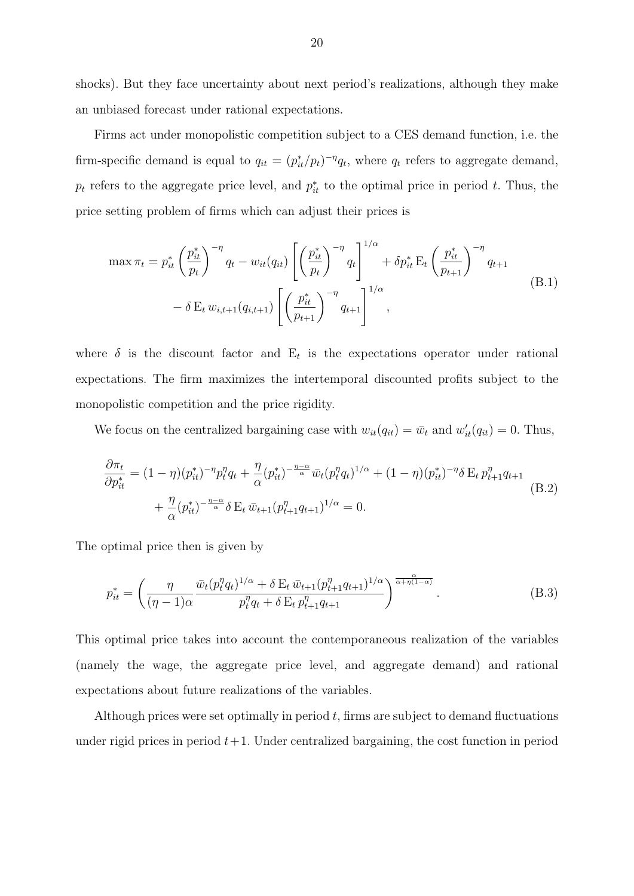shocks). But they face uncertainty about next period's realizations, although they make an unbiased forecast under rational expectations.

Firms act under monopolistic competition subject to a CES demand function, i.e. the firm-specific demand is equal to  $q_{it} = (p_{it}^*/p_t)^{-\eta} q_t$ , where  $q_t$  refers to aggregate demand,  $p_t$  refers to the aggregate price level, and  $p_{it}^*$  to the optimal price in period t. Thus, the price setting problem of firms which can adjust their prices is

$$
\max \pi_t = p_{it}^* \left(\frac{p_{it}^*}{p_t}\right)^{-\eta} q_t - w_{it}(q_{it}) \left[ \left(\frac{p_{it}^*}{p_t}\right)^{-\eta} q_t \right]^{1/\alpha} + \delta p_{it}^* \mathbf{E}_t \left(\frac{p_{it}^*}{p_{t+1}}\right)^{-\eta} q_{t+1} - \delta \mathbf{E}_t w_{i,t+1}(q_{i,t+1}) \left[ \left(\frac{p_{it}^*}{p_{t+1}}\right)^{-\eta} q_{t+1} \right]^{1/\alpha}, \tag{B.1}
$$

where  $\delta$  is the discount factor and  $E_t$  is the expectations operator under rational expectations. The firm maximizes the intertemporal discounted profits subject to the monopolistic competition and the price rigidity.

We focus on the centralized bargaining case with  $w_{it}(q_{it}) = \bar{w}_t$  and  $w'_{it}(q_{it}) = 0$ . Thus,

$$
\frac{\partial \pi_t}{\partial p_{it}^*} = (1 - \eta)(p_{it}^*)^{-\eta} p_t^{\eta} q_t + \frac{\eta}{\alpha} (p_{it}^*)^{-\frac{\eta - \alpha}{\alpha}} \bar{w}_t (p_t^{\eta} q_t)^{1/\alpha} + (1 - \eta)(p_{it}^*)^{-\eta} \delta \mathbf{E}_t p_{t+1}^{\eta} q_{t+1} + \frac{\eta}{\alpha} (p_{it}^*)^{-\frac{\eta - \alpha}{\alpha}} \delta \mathbf{E}_t \, \bar{w}_{t+1} (p_{t+1}^{\eta} q_{t+1})^{1/\alpha} = 0.
$$
\n(B.2)

The optimal price then is given by

$$
p_{it}^{*} = \left(\frac{\eta}{(\eta - 1)\alpha} \frac{\bar{w}_{t}(p_{t}^{\eta}q_{t})^{1/\alpha} + \delta E_{t} \bar{w}_{t+1}(p_{t+1}^{\eta}q_{t+1})^{1/\alpha}}{p_{t}^{\eta}q_{t} + \delta E_{t} p_{t+1}^{\eta}q_{t+1}}\right)^{\frac{\alpha}{\alpha + \eta(1-\alpha)}}.
$$
(B.3)

This optimal price takes into account the contemporaneous realization of the variables (namely the wage, the aggregate price level, and aggregate demand) and rational expectations about future realizations of the variables.

Although prices were set optimally in period  $t$ , firms are subject to demand fluctuations under rigid prices in period  $t+1$ . Under centralized bargaining, the cost function in period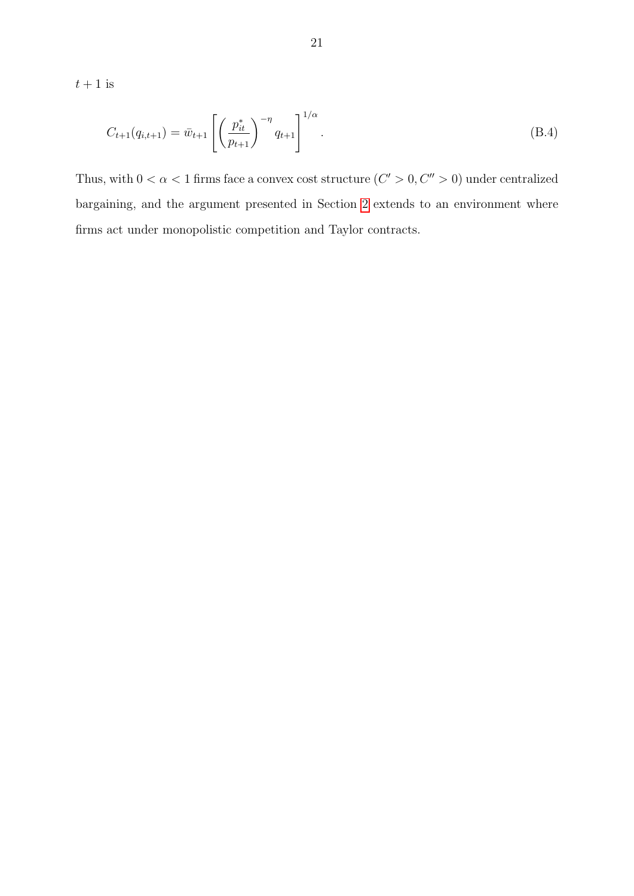$t+1$  is

$$
C_{t+1}(q_{i,t+1}) = \bar{w}_{t+1} \left[ \left( \frac{p_{it}^*}{p_{t+1}} \right)^{-\eta} q_{t+1} \right]^{1/\alpha}.
$$
 (B.4)

Thus, with  $0 < \alpha < 1$  firms face a convex cost structure  $(C' > 0, C'' > 0)$  under centralized bargaining, and the argument presented in Section [2](#page-6-0) extends to an environment where firms act under monopolistic competition and Taylor contracts.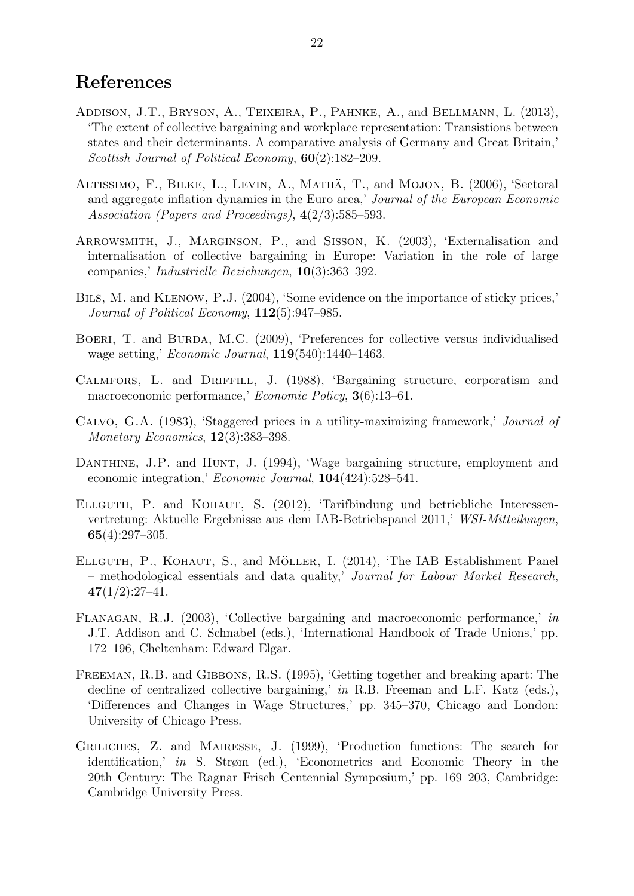## References

- <span id="page-24-9"></span>Addison, J.T., Bryson, A., Teixeira, P., Pahnke, A., and Bellmann, L. (2013), 'The extent of collective bargaining and workplace representation: Transistions between states and their determinants. A comparative analysis of Germany and Great Britain,' Scottish Journal of Political Economy, 60(2):182–209.
- <span id="page-24-6"></span>ALTISSIMO, F., BILKE, L., LEVIN, A., MATHÄ, T., and MOJON, B. (2006), 'Sectoral and aggregate inflation dynamics in the Euro area,' Journal of the European Economic Association (Papers and Proceedings), 4(2/3):585–593.
- <span id="page-24-5"></span>Arrowsmith, J., Marginson, P., and Sisson, K. (2003), 'Externalisation and internalisation of collective bargaining in Europe: Variation in the role of large companies,' Industrielle Beziehungen, 10(3):363–392.
- <span id="page-24-11"></span>Bils, M. and Klenow, P.J. (2004), 'Some evidence on the importance of sticky prices,' Journal of Political Economy,  $112(5):947-985$ .
- <span id="page-24-3"></span>BOERI, T. and BURDA, M.C. (2009), 'Preferences for collective versus individualised wage setting,' Economic Journal, 119(540):1440–1463.
- <span id="page-24-0"></span>Calmfors, L. and Driffill, J. (1988), 'Bargaining structure, corporatism and macroeconomic performance,' Economic Policy, 3(6):13–61.
- <span id="page-24-12"></span>Calvo, G.A. (1983), 'Staggered prices in a utility-maximizing framework,' Journal of Monetary Economics, 12(3):383–398.
- <span id="page-24-1"></span>DANTHINE, J.P. and HUNT, J. (1994), 'Wage bargaining structure, employment and economic integration,' Economic Journal, 104(424):528–541.
- <span id="page-24-7"></span>Ellguth, P. and Kohaut, S. (2012), 'Tarifbindung und betriebliche Interessenvertretung: Aktuelle Ergebnisse aus dem IAB-Betriebspanel 2011,' WSI-Mitteilungen, 65(4):297–305.
- <span id="page-24-8"></span>ELLGUTH, P., KOHAUT, S., and MÖLLER, I. (2014), 'The IAB Establishment Panel – methodological essentials and data quality,' Journal for Labour Market Research,  $47(1/2):27-41.$
- <span id="page-24-2"></span>Flanagan, R.J. (2003), 'Collective bargaining and macroeconomic performance,' in J.T. Addison and C. Schnabel (eds.), 'International Handbook of Trade Unions,' pp. 172–196, Cheltenham: Edward Elgar.
- <span id="page-24-4"></span>Freeman, R.B. and Gibbons, R.S. (1995), 'Getting together and breaking apart: The decline of centralized collective bargaining,' in R.B. Freeman and L.F. Katz (eds.), 'Differences and Changes in Wage Structures,' pp. 345–370, Chicago and London: University of Chicago Press.
- <span id="page-24-10"></span>Griliches, Z. and Mairesse, J. (1999), 'Production functions: The search for identification,' in S. Strøm (ed.), 'Econometrics and Economic Theory in the 20th Century: The Ragnar Frisch Centennial Symposium,' pp. 169–203, Cambridge: Cambridge University Press.